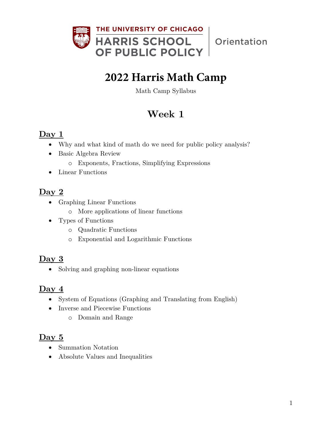

Orientation

# **2022 Harris Math Camp**

Math Camp Syllabus

## **Week 1**

#### **Day 1**

- Why and what kind of math do we need for public policy analysis?
- Basic Algebra Review
	- o Exponents, Fractions, Simplifying Expressions
- Linear Functions

#### **Day 2**

- Graphing Linear Functions
	- o More applications of linear functions
- Types of Functions
	- o Quadratic Functions
	- o Exponential and Logarithmic Functions

#### **Day 3**

• Solving and graphing non-linear equations

#### **Day 4**

- System of Equations (Graphing and Translating from English)
- Inverse and Piecewise Functions
	- o Domain and Range

### **Day 5**

- Summation Notation
- Absolute Values and Inequalities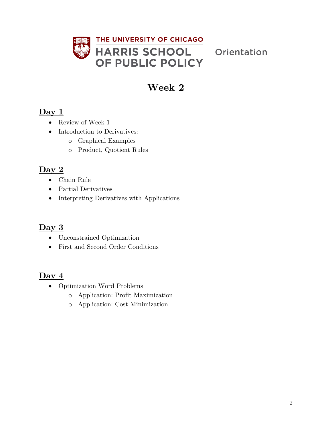

Orientation

## **Week 2**

### **Day 1**

- Review of Week 1
- Introduction to Derivatives:
	- o Graphical Examples
	- o Product, Quotient Rules

## **Day 2**

- Chain Rule
- Partial Derivatives
- Interpreting Derivatives with Applications

#### **Day 3**

- Unconstrained Optimization
- First and Second Order Conditions

### **Day 4**

- Optimization Word Problems
	- o Application: Profit Maximization
	- o Application: Cost Minimization